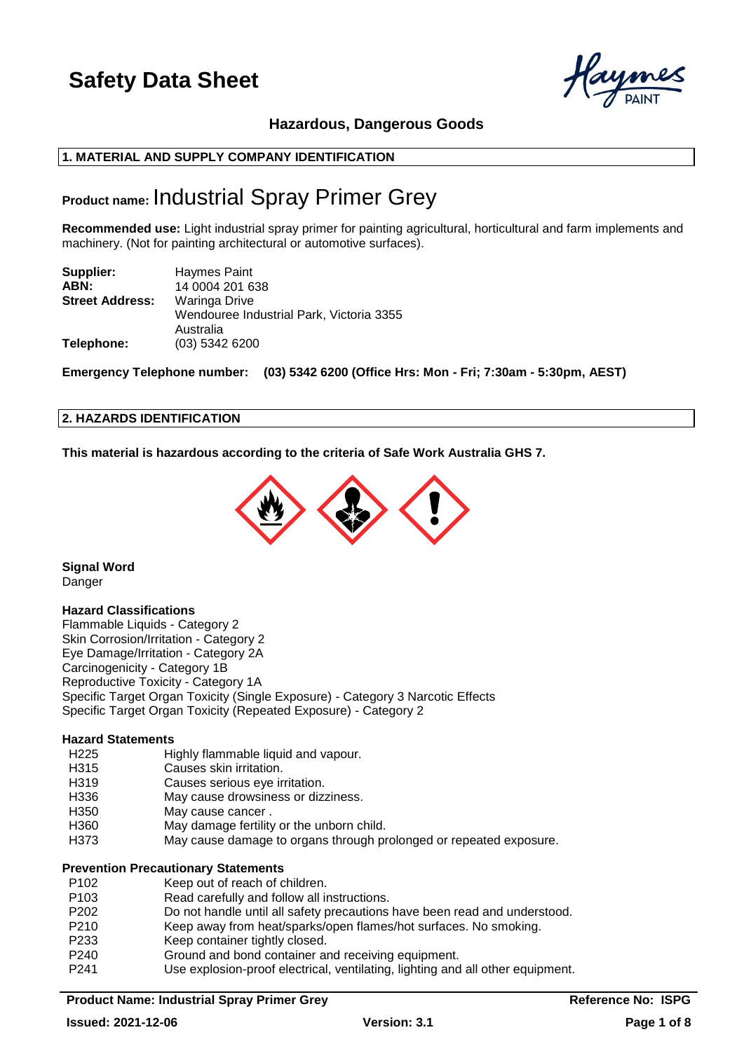## **Hazardous, Dangerous Goods**

## **1. MATERIAL AND SUPPLY COMPANY IDENTIFICATION**

## **Product name:** Industrial Spray Primer Grey

**Recommended use:** Light industrial spray primer for painting agricultural, horticultural and farm implements and machinery. (Not for painting architectural or automotive surfaces).

| Supplier:              | <b>Haymes Paint</b>                      |
|------------------------|------------------------------------------|
| ABN:                   | 14 0004 201 638                          |
| <b>Street Address:</b> | Waringa Drive                            |
|                        | Wendouree Industrial Park, Victoria 3355 |
|                        | Australia                                |
| Telephone:             | (03) 5342 6200                           |

**Emergency Telephone number: (03) 5342 6200 (Office Hrs: Mon - Fri; 7:30am - 5:30pm, AEST)**

## **2. HAZARDS IDENTIFICATION**

**This material is hazardous according to the criteria of Safe Work Australia GHS 7.**



**Signal Word** Danger

#### **Hazard Classifications**

Flammable Liquids - Category 2 Skin Corrosion/Irritation - Category 2 Eye Damage/Irritation - Category 2A Carcinogenicity - Category 1B Reproductive Toxicity - Category 1A Specific Target Organ Toxicity (Single Exposure) - Category 3 Narcotic Effects Specific Target Organ Toxicity (Repeated Exposure) - Category 2

#### **Hazard Statements**

- H225 Highly flammable liquid and vapour.
- H315 Causes skin irritation.
- H319 Causes serious eye irritation.
- H336 May cause drowsiness or dizziness.
- H350 May cause cancer.
- H360 May damage fertility or the unborn child.
- H373 May cause damage to organs through prolonged or repeated exposure.

#### **Prevention Precautionary Statements**

- P102 Keep out of reach of children. P103 Read carefully and follow all instructions. P202 Do not handle until all safety precautions have been read and understood. P210 Keep away from heat/sparks/open flames/hot surfaces. No smoking. P233 Keep container tightly closed. P240 Ground and bond container and receiving equipment.
- 
- P241 Use explosion-proof electrical, ventilating, lighting and all other equipment.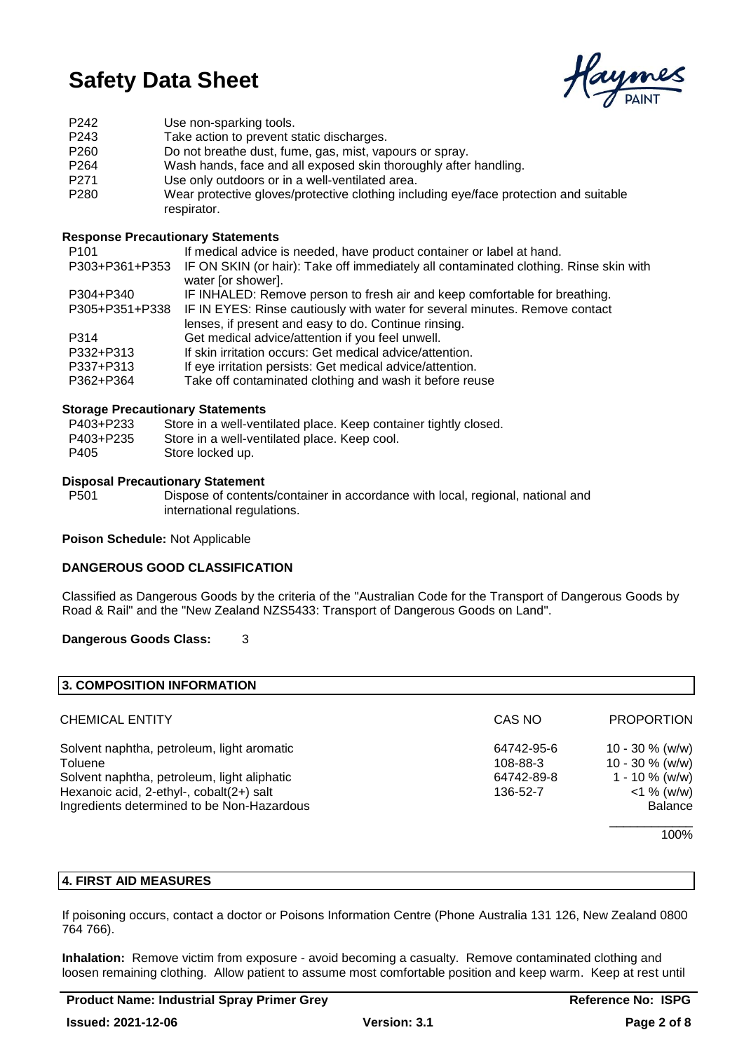Caymes

P242 Use non-sparking tools. P243 Take action to prevent static discharges. P260 Do not breathe dust, fume, gas, mist, vapours or spray. P264 Wash hands, face and all exposed skin thoroughly after handling. P271 Use only outdoors or in a well-ventilated area. P280 Wear protective gloves/protective clothing including eye/face protection and suitable respirator.

## **Response Precautionary Statements**

| P <sub>101</sub> | If medical advice is needed, have product container or label at hand.                                       |
|------------------|-------------------------------------------------------------------------------------------------------------|
| P303+P361+P353   | IF ON SKIN (or hair): Take off immediately all contaminated clothing. Rinse skin with<br>water [or shower]. |
| P304+P340        | IF INHALED: Remove person to fresh air and keep comfortable for breathing.                                  |
| P305+P351+P338   | IF IN EYES: Rinse cautiously with water for several minutes. Remove contact                                 |
|                  | lenses, if present and easy to do. Continue rinsing.                                                        |
| P314             | Get medical advice/attention if you feel unwell.                                                            |
| P332+P313        | If skin irritation occurs: Get medical advice/attention.                                                    |
| P337+P313        | If eye irritation persists: Get medical advice/attention.                                                   |
| P362+P364        | Take off contaminated clothing and wash it before reuse                                                     |
|                  |                                                                                                             |

### **Storage Precautionary Statements**

| P403+P233 | Store in a well-ventilated place. Keep container tightly closed. |
|-----------|------------------------------------------------------------------|
| P403+P235 | Store in a well-ventilated place. Keep cool.                     |
| P405      | Store locked up.                                                 |

#### **Disposal Precautionary Statement**

P501 Dispose of contents/container in accordance with local, regional, national and international regulations.

**Poison Schedule:** Not Applicable

## **DANGEROUS GOOD CLASSIFICATION**

Classified as Dangerous Goods by the criteria of the "Australian Code for the Transport of Dangerous Goods by Road & Rail" and the "New Zealand NZS5433: Transport of Dangerous Goods on Land".

## **Dangerous Goods Class:** 3

| 3. COMPOSITION INFORMATION                  |            |                    |
|---------------------------------------------|------------|--------------------|
| <b>CHEMICAL ENTITY</b>                      | CAS NO     | <b>PROPORTION</b>  |
| Solvent naphtha, petroleum, light aromatic  | 64742-95-6 | 10 - 30 $%$ (w/w)  |
| Toluene                                     | 108-88-3   | $10 - 30 \%$ (w/w) |
| Solvent naphtha, petroleum, light aliphatic | 64742-89-8 | 1 - 10 $\%$ (w/w)  |
| Hexanoic acid, 2-ethyl-, cobalt(2+) salt    | 136-52-7   | $<$ 1 % (w/w)      |
| Ingredients determined to be Non-Hazardous  |            | <b>Balance</b>     |
|                                             |            | 100%               |

## **4. FIRST AID MEASURES**

If poisoning occurs, contact a doctor or Poisons Information Centre (Phone Australia 131 126, New Zealand 0800 764 766).

**Inhalation:** Remove victim from exposure - avoid becoming a casualty. Remove contaminated clothing and loosen remaining clothing. Allow patient to assume most comfortable position and keep warm. Keep at rest until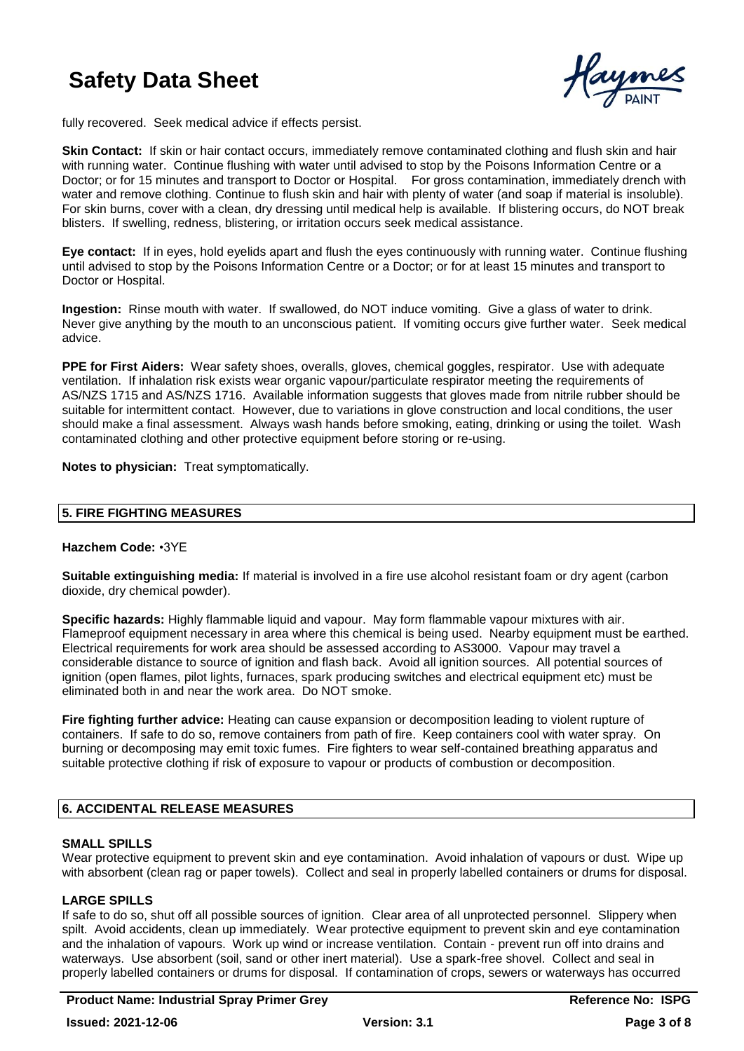

fully recovered. Seek medical advice if effects persist.

**Skin Contact:** If skin or hair contact occurs, immediately remove contaminated clothing and flush skin and hair with running water. Continue flushing with water until advised to stop by the Poisons Information Centre or a Doctor; or for 15 minutes and transport to Doctor or Hospital. For gross contamination, immediately drench with water and remove clothing. Continue to flush skin and hair with plenty of water (and soap if material is insoluble). For skin burns, cover with a clean, dry dressing until medical help is available. If blistering occurs, do NOT break blisters. If swelling, redness, blistering, or irritation occurs seek medical assistance.

**Eye contact:** If in eyes, hold eyelids apart and flush the eyes continuously with running water. Continue flushing until advised to stop by the Poisons Information Centre or a Doctor; or for at least 15 minutes and transport to Doctor or Hospital.

**Ingestion:** Rinse mouth with water. If swallowed, do NOT induce vomiting. Give a glass of water to drink. Never give anything by the mouth to an unconscious patient. If vomiting occurs give further water. Seek medical advice.

**PPE for First Aiders:** Wear safety shoes, overalls, gloves, chemical goggles, respirator. Use with adequate ventilation. If inhalation risk exists wear organic vapour/particulate respirator meeting the requirements of AS/NZS 1715 and AS/NZS 1716. Available information suggests that gloves made from nitrile rubber should be suitable for intermittent contact. However, due to variations in glove construction and local conditions, the user should make a final assessment. Always wash hands before smoking, eating, drinking or using the toilet. Wash contaminated clothing and other protective equipment before storing or re-using.

**Notes to physician:** Treat symptomatically.

## **5. FIRE FIGHTING MEASURES**

#### **Hazchem Code:** •3YE

**Suitable extinguishing media:** If material is involved in a fire use alcohol resistant foam or dry agent (carbon dioxide, dry chemical powder).

**Specific hazards:** Highly flammable liquid and vapour. May form flammable vapour mixtures with air. Flameproof equipment necessary in area where this chemical is being used. Nearby equipment must be earthed. Electrical requirements for work area should be assessed according to AS3000. Vapour may travel a considerable distance to source of ignition and flash back. Avoid all ignition sources. All potential sources of ignition (open flames, pilot lights, furnaces, spark producing switches and electrical equipment etc) must be eliminated both in and near the work area. Do NOT smoke.

**Fire fighting further advice:** Heating can cause expansion or decomposition leading to violent rupture of containers. If safe to do so, remove containers from path of fire. Keep containers cool with water spray. On burning or decomposing may emit toxic fumes. Fire fighters to wear self-contained breathing apparatus and suitable protective clothing if risk of exposure to vapour or products of combustion or decomposition.

## **6. ACCIDENTAL RELEASE MEASURES**

## **SMALL SPILLS**

Wear protective equipment to prevent skin and eye contamination. Avoid inhalation of vapours or dust. Wipe up with absorbent (clean rag or paper towels). Collect and seal in properly labelled containers or drums for disposal.

## **LARGE SPILLS**

If safe to do so, shut off all possible sources of ignition. Clear area of all unprotected personnel. Slippery when spilt. Avoid accidents, clean up immediately. Wear protective equipment to prevent skin and eye contamination and the inhalation of vapours. Work up wind or increase ventilation. Contain - prevent run off into drains and waterways. Use absorbent (soil, sand or other inert material). Use a spark-free shovel. Collect and seal in properly labelled containers or drums for disposal. If contamination of crops, sewers or waterways has occurred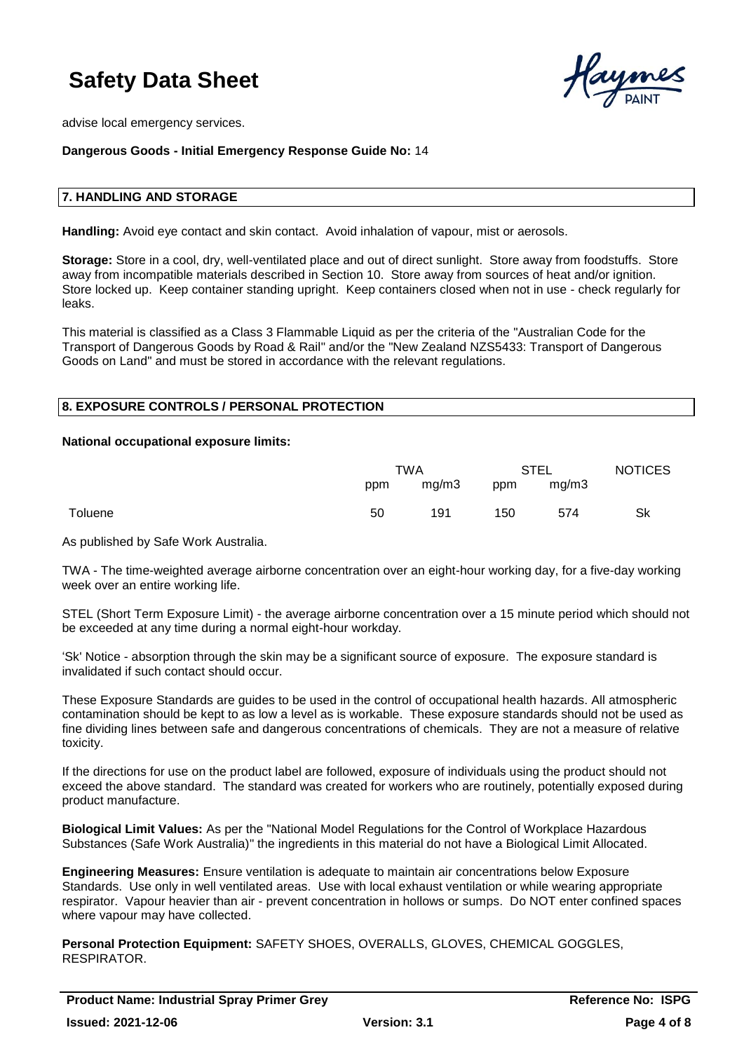

advise local emergency services.

### **Dangerous Goods - Initial Emergency Response Guide No:** 14

#### **7. HANDLING AND STORAGE**

**Handling:** Avoid eye contact and skin contact. Avoid inhalation of vapour, mist or aerosols.

**Storage:** Store in a cool, dry, well-ventilated place and out of direct sunlight. Store away from foodstuffs. Store away from incompatible materials described in Section 10. Store away from sources of heat and/or ignition. Store locked up. Keep container standing upright. Keep containers closed when not in use - check regularly for leaks.

This material is classified as a Class 3 Flammable Liquid as per the criteria of the "Australian Code for the Transport of Dangerous Goods by Road & Rail" and/or the "New Zealand NZS5433: Transport of Dangerous Goods on Land" and must be stored in accordance with the relevant regulations.

#### **8. EXPOSURE CONTROLS / PERSONAL PROTECTION**

#### **National occupational exposure limits:**

|         | TWA |       | <b>STEL</b> |       | <b>NOTICES</b> |
|---------|-----|-------|-------------|-------|----------------|
|         | ppm | mg/m3 | ppm         | mg/m3 |                |
| Toluene | 50  | 191   | 150         | 574   | Sk             |

As published by Safe Work Australia.

TWA - The time-weighted average airborne concentration over an eight-hour working day, for a five-day working week over an entire working life.

STEL (Short Term Exposure Limit) - the average airborne concentration over a 15 minute period which should not be exceeded at any time during a normal eight-hour workday.

'Sk' Notice - absorption through the skin may be a significant source of exposure. The exposure standard is invalidated if such contact should occur.

These Exposure Standards are guides to be used in the control of occupational health hazards. All atmospheric contamination should be kept to as low a level as is workable. These exposure standards should not be used as fine dividing lines between safe and dangerous concentrations of chemicals. They are not a measure of relative toxicity.

If the directions for use on the product label are followed, exposure of individuals using the product should not exceed the above standard. The standard was created for workers who are routinely, potentially exposed during product manufacture.

**Biological Limit Values:** As per the "National Model Regulations for the Control of Workplace Hazardous Substances (Safe Work Australia)" the ingredients in this material do not have a Biological Limit Allocated.

**Engineering Measures:** Ensure ventilation is adequate to maintain air concentrations below Exposure Standards. Use only in well ventilated areas. Use with local exhaust ventilation or while wearing appropriate respirator. Vapour heavier than air - prevent concentration in hollows or sumps. Do NOT enter confined spaces where vapour may have collected.

**Personal Protection Equipment:** SAFETY SHOES, OVERALLS, GLOVES, CHEMICAL GOGGLES, RESPIRATOR.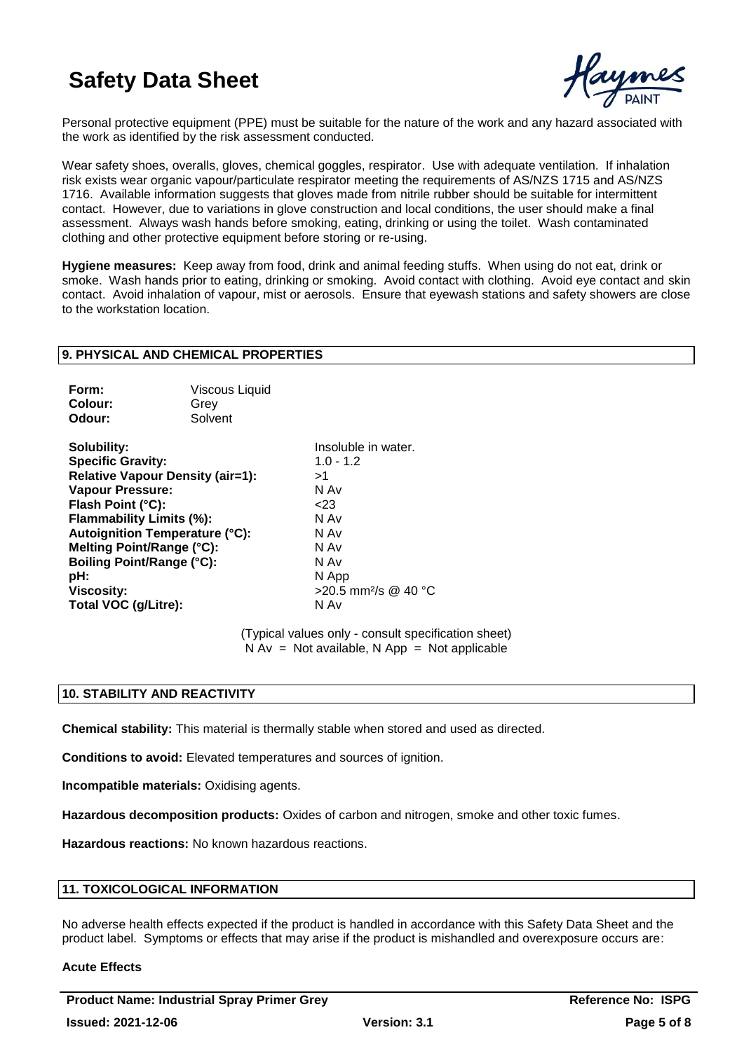

Personal protective equipment (PPE) must be suitable for the nature of the work and any hazard associated with the work as identified by the risk assessment conducted.

Wear safety shoes, overalls, gloves, chemical goggles, respirator. Use with adequate ventilation. If inhalation risk exists wear organic vapour/particulate respirator meeting the requirements of AS/NZS 1715 and AS/NZS 1716. Available information suggests that gloves made from nitrile rubber should be suitable for intermittent contact. However, due to variations in glove construction and local conditions, the user should make a final assessment. Always wash hands before smoking, eating, drinking or using the toilet. Wash contaminated clothing and other protective equipment before storing or re-using.

**Hygiene measures:** Keep away from food, drink and animal feeding stuffs. When using do not eat, drink or smoke. Wash hands prior to eating, drinking or smoking. Avoid contact with clothing. Avoid eye contact and skin contact. Avoid inhalation of vapour, mist or aerosols. Ensure that eyewash stations and safety showers are close to the workstation location.

### **9. PHYSICAL AND CHEMICAL PROPERTIES**

| Form:   | <b>Viscous Liquid</b> |
|---------|-----------------------|
| Colour: | Grev                  |
| Odour:  | Solvent               |

**Solubility:** Insoluble in water. **Specific Gravity:** 1.0 - 1.2 **Relative Vapour Density (air=1):** >1 **Vapour Pressure:** N Av **Flash Point (°C):** <23 **Flammability Limits (%):** N Av **Autoignition Temperature (°C):** N Av **Melting Point/Range (°C):** N Av **N** Av **Boiling Point/Range (°C):** N Av **Boiling Point/Range (°C): pH:** N App **Viscosity:**  $>20.5$  mm<sup>2</sup>/s @ 40 °C **Total VOC (g/Litre):** N Av

(Typical values only - consult specification sheet)  $N Av = Not available, N App = Not applicable$ 

### **10. STABILITY AND REACTIVITY**

**Chemical stability:** This material is thermally stable when stored and used as directed.

**Conditions to avoid:** Elevated temperatures and sources of ignition.

**Incompatible materials:** Oxidising agents.

**Hazardous decomposition products:** Oxides of carbon and nitrogen, smoke and other toxic fumes.

**Hazardous reactions:** No known hazardous reactions.

## **11. TOXICOLOGICAL INFORMATION**

No adverse health effects expected if the product is handled in accordance with this Safety Data Sheet and the product label. Symptoms or effects that may arise if the product is mishandled and overexposure occurs are:

#### **Acute Effects**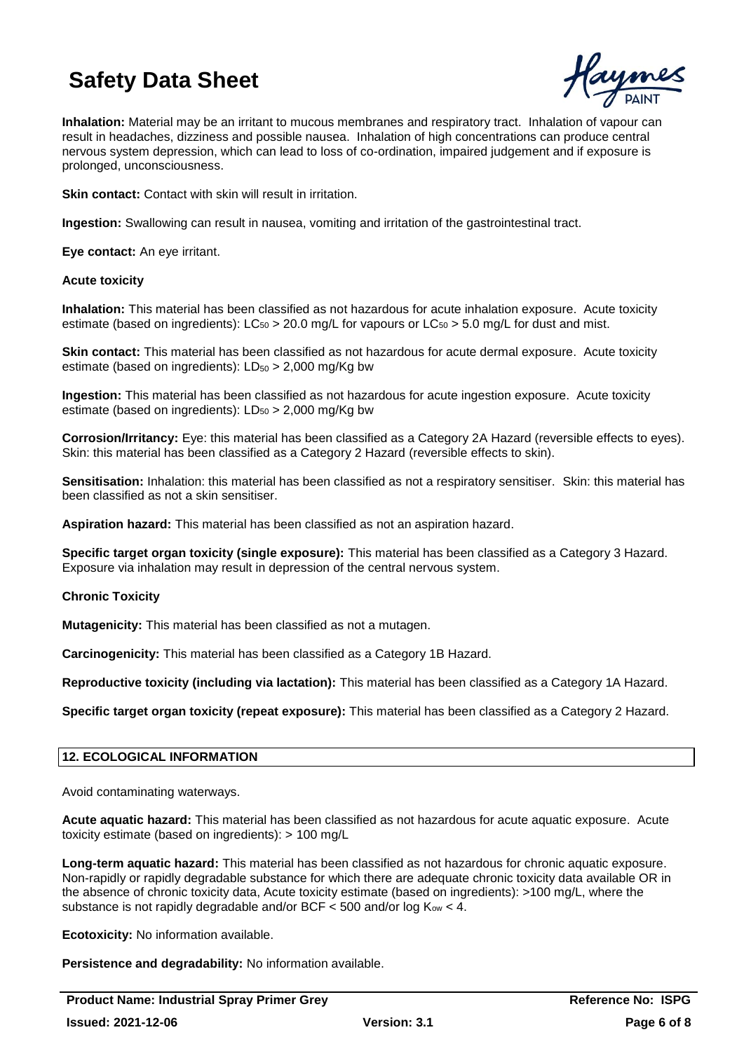

**Inhalation:** Material may be an irritant to mucous membranes and respiratory tract. Inhalation of vapour can result in headaches, dizziness and possible nausea. Inhalation of high concentrations can produce central nervous system depression, which can lead to loss of co-ordination, impaired judgement and if exposure is prolonged, unconsciousness.

**Skin contact:** Contact with skin will result in irritation.

**Ingestion:** Swallowing can result in nausea, vomiting and irritation of the gastrointestinal tract.

**Eye contact:** An eye irritant.

### **Acute toxicity**

**Inhalation:** This material has been classified as not hazardous for acute inhalation exposure. Acute toxicity estimate (based on ingredients):  $LC_{50} > 20.0$  mg/L for vapours or  $LC_{50} > 5.0$  mg/L for dust and mist.

**Skin contact:** This material has been classified as not hazardous for acute dermal exposure. Acute toxicity estimate (based on ingredients):  $LD_{50} > 2,000$  mg/Kg bw

**Ingestion:** This material has been classified as not hazardous for acute ingestion exposure. Acute toxicity estimate (based on ingredients):  $LD_{50} > 2,000$  mg/Kg bw

**Corrosion/Irritancy:** Eye: this material has been classified as a Category 2A Hazard (reversible effects to eyes). Skin: this material has been classified as a Category 2 Hazard (reversible effects to skin).

**Sensitisation:** Inhalation: this material has been classified as not a respiratory sensitiser. Skin: this material has been classified as not a skin sensitiser.

**Aspiration hazard:** This material has been classified as not an aspiration hazard.

**Specific target organ toxicity (single exposure):** This material has been classified as a Category 3 Hazard. Exposure via inhalation may result in depression of the central nervous system.

## **Chronic Toxicity**

**Mutagenicity:** This material has been classified as not a mutagen.

**Carcinogenicity:** This material has been classified as a Category 1B Hazard.

**Reproductive toxicity (including via lactation):** This material has been classified as a Category 1A Hazard.

**Specific target organ toxicity (repeat exposure):** This material has been classified as a Category 2 Hazard.

## **12. ECOLOGICAL INFORMATION**

Avoid contaminating waterways.

**Acute aquatic hazard:** This material has been classified as not hazardous for acute aquatic exposure. Acute toxicity estimate (based on ingredients): > 100 mg/L

**Long-term aquatic hazard:** This material has been classified as not hazardous for chronic aquatic exposure. Non-rapidly or rapidly degradable substance for which there are adequate chronic toxicity data available OR in the absence of chronic toxicity data, Acute toxicity estimate (based on ingredients): >100 mg/L, where the substance is not rapidly degradable and/or BCF  $\lt$  500 and/or log  $K_{ow} \lt$  4.

**Ecotoxicity:** No information available.

**Persistence and degradability:** No information available.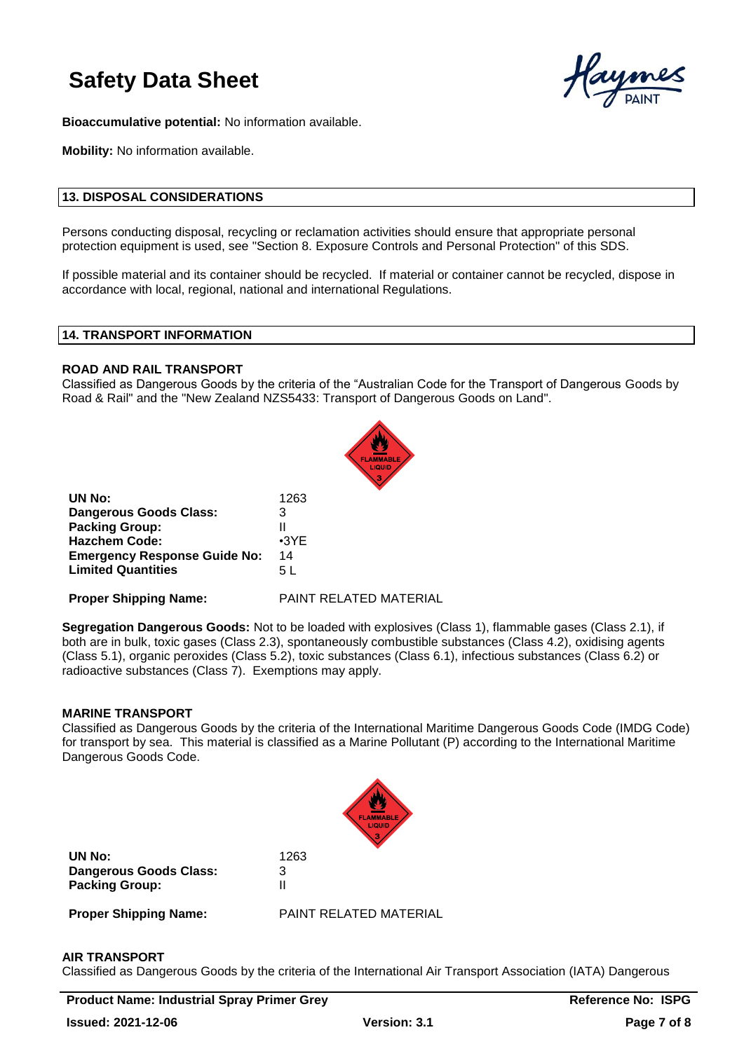

**Bioaccumulative potential:** No information available.

**Mobility:** No information available.

## **13. DISPOSAL CONSIDERATIONS**

Persons conducting disposal, recycling or reclamation activities should ensure that appropriate personal protection equipment is used, see "Section 8. Exposure Controls and Personal Protection" of this SDS.

If possible material and its container should be recycled. If material or container cannot be recycled, dispose in accordance with local, regional, national and international Regulations.

#### **14. TRANSPORT INFORMATION**

#### **ROAD AND RAIL TRANSPORT**

Classified as Dangerous Goods by the criteria of the "Australian Code for the Transport of Dangerous Goods by Road & Rail" and the "New Zealand NZS5433: Transport of Dangerous Goods on Land".



| UN No:                              | 1263        |
|-------------------------------------|-------------|
| <b>Dangerous Goods Class:</b>       | 3           |
| <b>Packing Group:</b>               | н           |
| <b>Hazchem Code:</b>                | $\cdot$ 3YE |
| <b>Emergency Response Guide No:</b> | 14          |
| <b>Limited Quantities</b>           | 5 L         |
|                                     |             |

**Proper Shipping Name:** PAINT RELATED MATERIAL

**Segregation Dangerous Goods:** Not to be loaded with explosives (Class 1), flammable gases (Class 2.1), if both are in bulk, toxic gases (Class 2.3), spontaneously combustible substances (Class 4.2), oxidising agents (Class 5.1), organic peroxides (Class 5.2), toxic substances (Class 6.1), infectious substances (Class 6.2) or radioactive substances (Class 7). Exemptions may apply.

#### **MARINE TRANSPORT**

Classified as Dangerous Goods by the criteria of the International Maritime Dangerous Goods Code (IMDG Code) for transport by sea. This material is classified as a Marine Pollutant (P) according to the International Maritime Dangerous Goods Code.



**UN No:** 1263 **Dangerous Goods Class:** 3 **Packing Group:** II

**Proper Shipping Name:** PAINT RELATED MATERIAL

#### **AIR TRANSPORT**

Classified as Dangerous Goods by the criteria of the International Air Transport Association (IATA) Dangerous